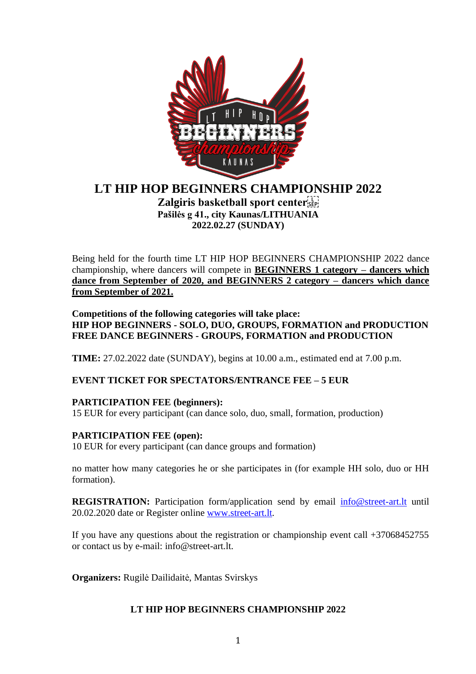

# **LT HIP HOP BEGINNERS CHAMPIONSHIP 2022 Zalgiris basketball sport center Pašilės g 41., city Kaunas/LITHUANIA 2022.02.27 (SUNDAY)**

Being held for the fourth time LT HIP HOP BEGINNERS CHAMPIONSHIP 2022 dance championship, where dancers will compete in **BEGINNERS 1 category – dancers which dance from September of 2020, and BEGINNERS 2 category – dancers which dance from September of 2021.**

**Competitions of the following categories will take place: HIP HOP BEGINNERS - SOLO, DUO, GROUPS, FORMATION and PRODUCTION FREE DANCE BEGINNERS - GROUPS, FORMATION and PRODUCTION**

**TIME:** 27.02.2022 date (SUNDAY), begins at 10.00 a.m., estimated end at 7.00 p.m.

# **EVENT TICKET FOR SPECTATORS/ENTRANCE FEE – 5 EUR**

# **PARTICIPATION FEE (beginners):**

15 EUR for every participant (can dance solo, duo, small, formation, production)

#### **PARTICIPATION FEE (open):**

10 EUR for every participant (can dance groups and formation)

no matter how many categories he or she participates in (for example HH solo, duo or HH formation).

**REGISTRATION:** Participation form/application send by email [info@street-art.lt](mailto:info@street-art.lt) until 20.02.2020 date or Register online [www.street-art.lt.](http://www.street-art.lt/)

If you have any questions about the registration or championship event call +37068452755 or contact us by e-mail: info@street-art.lt.

**Organizers:** Rugilė Dailidaitė, Mantas Svirskys

#### **LT HIP HOP BEGINNERS CHAMPIONSHIP 2022**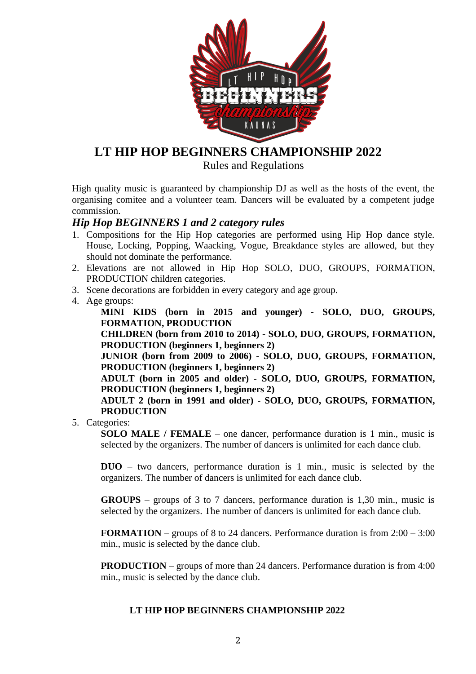

# **LT HIP HOP BEGINNERS CHAMPIONSHIP 2022**

Rules and Regulations

High quality music is guaranteed by championship DJ as well as the hosts of the event, the organising comitee and a volunteer team. Dancers will be evaluated by a competent judge commission.

### *Hip Hop BEGINNERS 1 and 2 category rules*

- 1. Compositions for the Hip Hop categories are performed using Hip Hop dance style. House, Locking, Popping, Waacking, Vogue, Breakdance styles are allowed, but they should not dominate the performance.
- 2. Elevations are not allowed in Hip Hop SOLO, DUO, GROUPS, FORMATION, PRODUCTION children categories.
- 3. Scene decorations are forbidden in every category and age group.
- 4. Age groups:

**MINI KIDS (born in 2015 and younger) - SOLO, DUO, GROUPS, FORMATION, PRODUCTION**

**CHILDREN (born from 2010 to 2014) - SOLO, DUO, GROUPS, FORMATION, PRODUCTION (beginners 1, beginners 2)** 

**JUNIOR (born from 2009 to 2006) - SOLO, DUO, GROUPS, FORMATION, PRODUCTION (beginners 1, beginners 2)**

**ADULT (born in 2005 and older) - SOLO, DUO, GROUPS, FORMATION, PRODUCTION (beginners 1, beginners 2)**

**ADULT 2 (born in 1991 and older) - SOLO, DUO, GROUPS, FORMATION, PRODUCTION**

5. Categories:

**SOLO MALE** / **FEMALE** – one dancer, performance duration is 1 min., music is selected by the organizers. The number of dancers is unlimited for each dance club.

**DUO** – two dancers, performance duration is 1 min., music is selected by the organizers. The number of dancers is unlimited for each dance club.

**GROUPS** – groups of 3 to 7 dancers, performance duration is 1,30 min., music is selected by the organizers. The number of dancers is unlimited for each dance club.

**FORMATION** – groups of 8 to 24 dancers. Performance duration is from 2:00 – 3:00 min., music is selected by the dance club.

**PRODUCTION** – groups of more than 24 dancers. Performance duration is from 4:00 min., music is selected by the dance club.

#### **LT HIP HOP BEGINNERS CHAMPIONSHIP 2022**